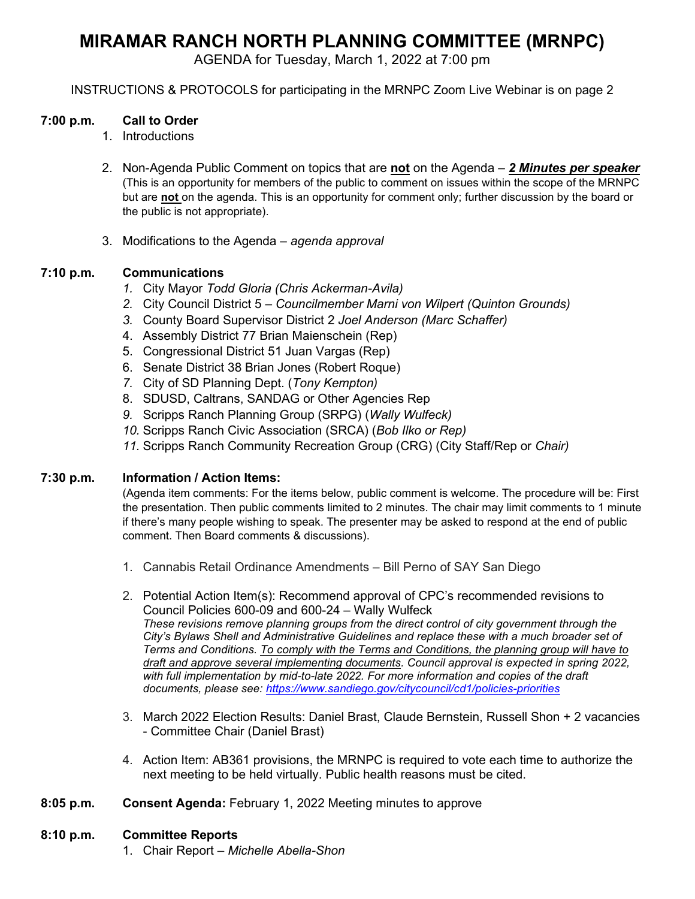# **MIRAMAR RANCH NORTH PLANNING COMMITTEE (MRNPC)**

AGENDA for Tuesday, March 1, 2022 at 7:00 pm

INSTRUCTIONS & PROTOCOLS for participating in the MRNPC Zoom Live Webinar is on page 2

## **7:00 p.m. Call to Order**

- 1. Introductions
- 2. Non-Agenda Public Comment on topics that are **not** on the Agenda *2 Minutes per speaker* (This is an opportunity for members of the public to comment on issues within the scope of the MRNPC but are **not** on the agenda. This is an opportunity for comment only; further discussion by the board or the public is not appropriate).
- 3. Modifications to the Agenda *agenda approval*

# **7:10 p.m. Communications**

- *1.* City Mayor *Todd Gloria (Chris Ackerman-Avila)*
- *2.* City Council District 5 *Councilmember Marni von Wilpert (Quinton Grounds)*
- *3.* County Board Supervisor District 2 *Joel Anderson (Marc Schaffer)*
- 4. Assembly District 77 Brian Maienschein (Rep)
- 5. Congressional District 51 Juan Vargas (Rep)
- 6. Senate District 38 Brian Jones (Robert Roque)
- *7.* City of SD Planning Dept. (*Tony Kempton)*
- 8. SDUSD, Caltrans, SANDAG or Other Agencies Rep
- *9.* Scripps Ranch Planning Group (SRPG) (*Wally Wulfeck)*
- *10.* Scripps Ranch Civic Association (SRCA) (*Bob Ilko or Rep)*

*11.* Scripps Ranch Community Recreation Group (CRG) (City Staff/Rep or *Chair)*

## **7:30 p.m. Information / Action Items:**

(Agenda item comments: For the items below, public comment is welcome. The procedure will be: First the presentation. Then public comments limited to 2 minutes. The chair may limit comments to 1 minute if there's many people wishing to speak. The presenter may be asked to respond at the end of public comment. Then Board comments & discussions).

- 1. Cannabis Retail Ordinance Amendments Bill Perno of SAY San Diego
- 2. Potential Action Item(s): Recommend approval of CPC's recommended revisions to Council Policies 600-09 and 600-24 – Wally Wulfeck *These revisions remove planning groups from the direct control of city government through the City's Bylaws Shell and Administrative Guidelines and replace these with a much broader set of Terms and Conditions. To comply with the Terms and Conditions, the planning group will have to draft and approve several implementing documents. Council approval is expected in spring 2022,*  with full implementation by mid-to-late 2022. For more information and copies of the draft *documents, please see:<https://www.sandiego.gov/citycouncil/cd1/policies-priorities>*
- 3. March 2022 Election Results: Daniel Brast, Claude Bernstein, Russell Shon + 2 vacancies - Committee Chair (Daniel Brast)
- 4. Action Item: AB361 provisions, the MRNPC is required to vote each time to authorize the next meeting to be held virtually. Public health reasons must be cited.
- **8:05 p.m. Consent Agenda:** February 1, 2022 Meeting minutes to approve

## **8:10 p.m. Committee Reports**

1. Chair Report – *Michelle Abella-Shon*